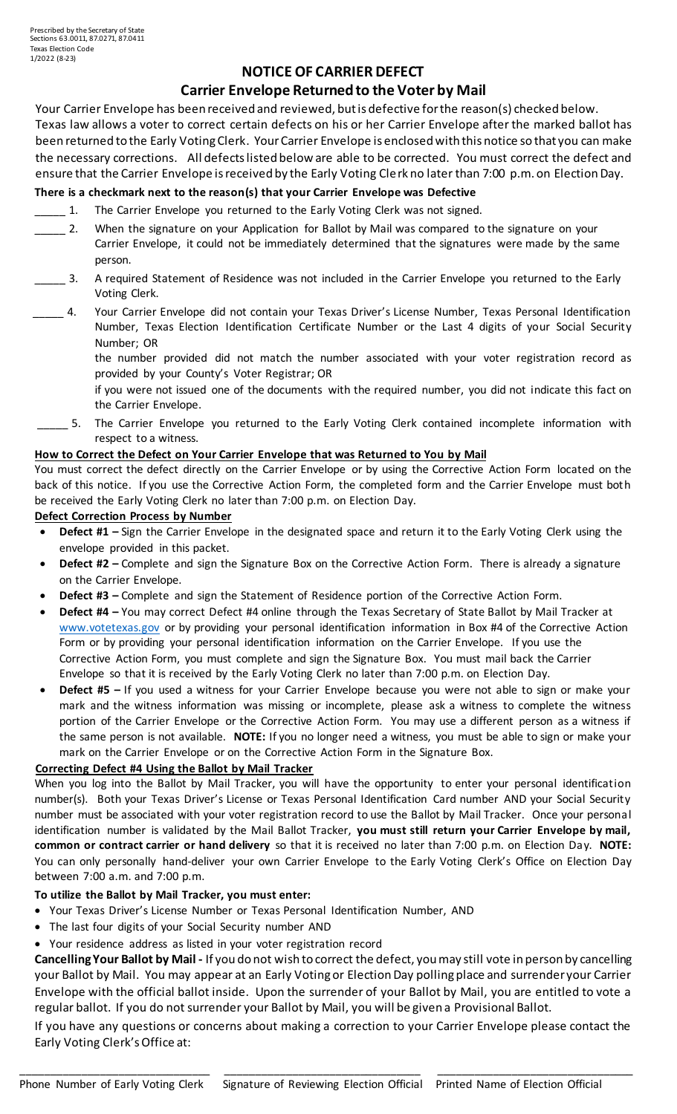# **NOTICE OF CARRIER DEFECT**

## **Carrier Envelope Returned to the Voter by Mail**

Your Carrier Envelope has been received and reviewed, but is defective for the reason(s) checked below. Texas law allows a voter to correct certain defects on his or her Carrier Envelope after the marked ballot has been returned to the Early Voting Clerk. Your Carrier Envelope is enclosed with this notice so that you can make the necessary corrections. All defects listed below are able to be corrected. You must correct the defect and ensure that the Carrier Envelope is received by the Early Voting Cle rk no later than 7:00 p.m. on Election Day.

#### **There is a checkmark next to the reason(s) that your Carrier Envelope was Defective**

- 1. The Carrier Envelope you returned to the Early Voting Clerk was not signed.
- \_\_\_\_\_ 2. When the signature on your Application for Ballot by Mail was compared to the signature on your Carrier Envelope, it could not be immediately determined that the signatures were made by the same person.
- \_\_\_\_\_ 3. A required Statement of Residence was not included in the Carrier Envelope you returned to the Early Voting Clerk.
- \_\_\_\_\_ 4. Your Carrier Envelope did not contain your Texas Driver's License Number, Texas Personal Identification Number, Texas Election Identification Certificate Number or the Last 4 digits of your Social Security Number; OR

the number provided did not match the number associated with your voter registration record as provided by your County's Voter Registrar; OR

if you were not issued one of the documents with the required number, you did not indicate this fact on the Carrier Envelope.

 \_\_\_\_\_ 5. The Carrier Envelope you returned to the Early Voting Clerk contained incomplete information with respect to a witness.

#### **How to Correct the Defect on Your Carrier Envelope that was Returned to You by Mail**

You must correct the defect directly on the Carrier Envelope or by using the Corrective Action Form located on the back of this notice. If you use the Corrective Action Form, the completed form and the Carrier Envelope must both be received the Early Voting Clerk no later than 7:00 p.m. on Election Day.

### **Defect Correction Process by Number**

- **Defect #1 –** Sign the Carrier Envelope in the designated space and return it to the Early Voting Clerk using the envelope provided in this packet.
- **Defect #2 –** Complete and sign the Signature Box on the Corrective Action Form. There is already a signature on the Carrier Envelope.
- **Defect #3 –** Complete and sign the Statement of Residence portion of the Corrective Action Form.
- **Defect #4 –** You may correct Defect #4 online through the Texas Secretary of State Ballot by Mail Tracker at [www.votetexas.gov](http://www.votetexas.gov/) or by providing your personal identification information in Box #4 of the Corrective Action Form or by providing your personal identification information on the Carrier Envelope. If you use the Corrective Action Form, you must complete and sign the Signature Box. You must mail back the Carrier Envelope so that it is received by the Early Voting Clerk no later than 7:00 p.m. on Election Day.
- **Defect #5 –** If you used a witness for your Carrier Envelope because you were not able to sign or make your mark and the witness information was missing or incomplete, please ask a witness to complete the witness portion of the Carrier Envelope or the Corrective Action Form. You may use a different person as a witness if the same person is not available. **NOTE:** If you no longer need a witness, you must be able to sign or make your mark on the Carrier Envelope or on the Corrective Action Form in the Signature Box.

## **Correcting Defect #4 Using the Ballot by Mail Tracker**

When you log into the Ballot by Mail Tracker, you will have the opportunity to enter your personal identification number(s). Both your Texas Driver's License or Texas Personal Identification Card number AND your Social Security number must be associated with your voter registration record to use the Ballot by Mail Tracker. Once your personal identification number is validated by the Mail Ballot Tracker, **you must still return your Carrier Envelope by mail, common or contract carrier or hand delivery** so that it is received no later than 7:00 p.m. on Election Day. **NOTE:** You can only personally hand-deliver your own Carrier Envelope to the Early Voting Clerk's Office on Election Day between 7:00 a.m. and 7:00 p.m.

## **To utilize the Ballot by Mail Tracker, you must enter:**

- Your Texas Driver's License Number or Texas Personal Identification Number, AND
- The last four digits of your Social Security number AND
- Your residence address as listed in your voter registration record

**Cancelling Your Ballot by Mail -** If you do not wish to correct the defect, you may still vote in person by cancelling your Ballot by Mail. You may appear at an Early Voting or Election Day polling place and surrender your Carrier Envelope with the official ballot inside. Upon the surrender of your Ballot by Mail, you are entitled to vote a regular ballot. If you do not surrender your Ballot by Mail, you will be given a Provisional Ballot.

If you have any questions or concerns about making a correction to your Carrier Envelope please contact the Early Voting Clerk's Office at: